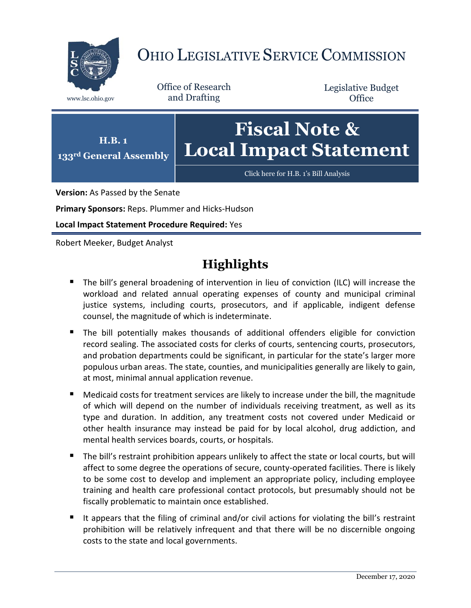

# OHIO LEGISLATIVE SERVICE COMMISSION

Office of Research www.lsc.ohio.gov and Drafting

Legislative Budget **Office** 



**Version:** As Passed by the Senate

**Primary Sponsors:** Reps. Plummer and Hicks-Hudson

**Local Impact Statement Procedure Required:** Yes

Robert Meeker, Budget Analyst

# **Highlights**

- The bill's general broadening of intervention in lieu of conviction (ILC) will increase the workload and related annual operating expenses of county and municipal criminal justice systems, including courts, prosecutors, and if applicable, indigent defense counsel, the magnitude of which is indeterminate.
- The bill potentially makes thousands of additional offenders eligible for conviction record sealing. The associated costs for clerks of courts, sentencing courts, prosecutors, and probation departments could be significant, in particular for the state's larger more populous urban areas. The state, counties, and municipalities generally are likely to gain, at most, minimal annual application revenue.
- Medicaid costs for treatment services are likely to increase under the bill, the magnitude of which will depend on the number of individuals receiving treatment, as well as its type and duration. In addition, any treatment costs not covered under Medicaid or other health insurance may instead be paid for by local alcohol, drug addiction, and mental health services boards, courts, or hospitals.
- The bill's restraint prohibition appears unlikely to affect the state or local courts, but will affect to some degree the operations of secure, county-operated facilities. There is likely to be some cost to develop and implement an appropriate policy, including employee training and health care professional contact protocols, but presumably should not be fiscally problematic to maintain once established.
- It appears that the filing of criminal and/or civil actions for violating the bill's restraint prohibition will be relatively infrequent and that there will be no discernible ongoing costs to the state and local governments.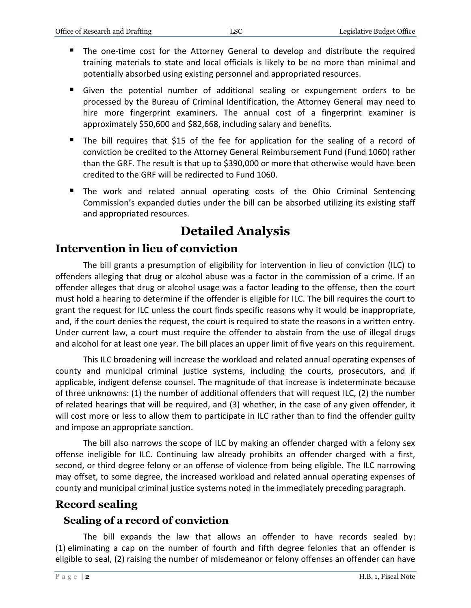- The one-time cost for the Attorney General to develop and distribute the required training materials to state and local officials is likely to be no more than minimal and potentially absorbed using existing personnel and appropriated resources.
- Given the potential number of additional sealing or expungement orders to be processed by the Bureau of Criminal Identification, the Attorney General may need to hire more fingerprint examiners. The annual cost of a fingerprint examiner is approximately \$50,600 and \$82,668, including salary and benefits.
- The bill requires that \$15 of the fee for application for the sealing of a record of conviction be credited to the Attorney General Reimbursement Fund (Fund 1060) rather than the GRF. The result is that up to \$390,000 or more that otherwise would have been credited to the GRF will be redirected to Fund 1060.
- The work and related annual operating costs of the Ohio Criminal Sentencing Commission's expanded duties under the bill can be absorbed utilizing its existing staff and appropriated resources.

# **Detailed Analysis**

# **Intervention in lieu of conviction**

The bill grants a presumption of eligibility for intervention in lieu of conviction (ILC) to offenders alleging that drug or alcohol abuse was a factor in the commission of a crime. If an offender alleges that drug or alcohol usage was a factor leading to the offense, then the court must hold a hearing to determine if the offender is eligible for ILC. The bill requires the court to grant the request for ILC unless the court finds specific reasons why it would be inappropriate, and, if the court denies the request, the court is required to state the reasons in a written entry. Under current law, a court must require the offender to abstain from the use of illegal drugs and alcohol for at least one year. The bill places an upper limit of five years on this requirement.

This ILC broadening will increase the workload and related annual operating expenses of county and municipal criminal justice systems, including the courts, prosecutors, and if applicable, indigent defense counsel. The magnitude of that increase is indeterminate because of three unknowns: (1) the number of additional offenders that will request ILC, (2) the number of related hearings that will be required, and (3) whether, in the case of any given offender, it will cost more or less to allow them to participate in ILC rather than to find the offender guilty and impose an appropriate sanction.

The bill also narrows the scope of ILC by making an offender charged with a felony sex offense ineligible for ILC. Continuing law already prohibits an offender charged with a first, second, or third degree felony or an offense of violence from being eligible. The ILC narrowing may offset, to some degree, the increased workload and related annual operating expenses of county and municipal criminal justice systems noted in the immediately preceding paragraph.

## **Record sealing**

#### **Sealing of a record of conviction**

The bill expands the law that allows an offender to have records sealed by: (1) eliminating a cap on the number of fourth and fifth degree felonies that an offender is eligible to seal, (2) raising the number of misdemeanor or felony offenses an offender can have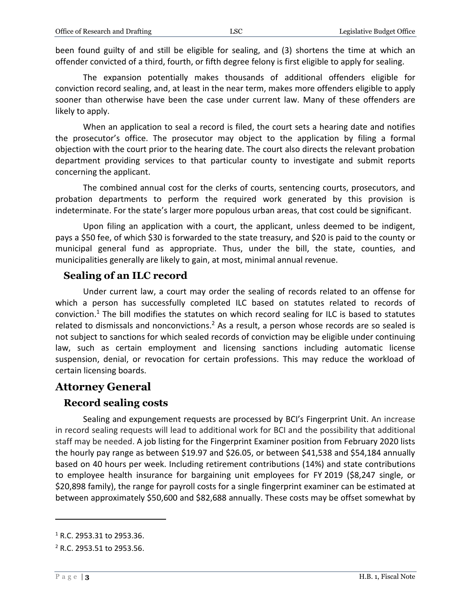been found guilty of and still be eligible for sealing, and (3) shortens the time at which an offender convicted of a third, fourth, or fifth degree felony is first eligible to apply for sealing.

The expansion potentially makes thousands of additional offenders eligible for conviction record sealing, and, at least in the near term, makes more offenders eligible to apply sooner than otherwise have been the case under current law. Many of these offenders are likely to apply.

When an application to seal a record is filed, the court sets a hearing date and notifies the prosecutor's office. The prosecutor may object to the application by filing a formal objection with the court prior to the hearing date. The court also directs the relevant probation department providing services to that particular county to investigate and submit reports concerning the applicant.

The combined annual cost for the clerks of courts, sentencing courts, prosecutors, and probation departments to perform the required work generated by this provision is indeterminate. For the state's larger more populous urban areas, that cost could be significant.

Upon filing an application with a court, the applicant, unless deemed to be indigent, pays a \$50 fee, of which \$30 is forwarded to the state treasury, and \$20 is paid to the county or municipal general fund as appropriate. Thus, under the bill, the state, counties, and municipalities generally are likely to gain, at most, minimal annual revenue.

#### **Sealing of an ILC record**

Under current law, a court may order the sealing of records related to an offense for which a person has successfully completed ILC based on statutes related to records of conviction.<sup>1</sup> The bill modifies the statutes on which record sealing for ILC is based to statutes related to dismissals and nonconvictions.<sup>2</sup> As a result, a person whose records are so sealed is not subject to sanctions for which sealed records of conviction may be eligible under continuing law, such as certain employment and licensing sanctions including automatic license suspension, denial, or revocation for certain professions. This may reduce the workload of certain licensing boards.

#### **Attorney General**

#### **Record sealing costs**

Sealing and expungement requests are processed by BCI's Fingerprint Unit. An increase in record sealing requests will lead to additional work for BCI and the possibility that additional staff may be needed. A job listing for the Fingerprint Examiner position from February 2020 lists the hourly pay range as between \$19.97 and \$26.05, or between \$41,538 and \$54,184 annually based on 40 hours per week. Including retirement contributions (14%) and state contributions to employee health insurance for bargaining unit employees for FY 2019 (\$8,247 single, or \$20,898 family), the range for payroll costs for a single fingerprint examiner can be estimated at between approximately \$50,600 and \$82,688 annually. These costs may be offset somewhat by

 $\overline{a}$ 

<sup>1</sup> R.C. 2953.31 to 2953.36.

<sup>2</sup> R.C. 2953.51 to 2953.56.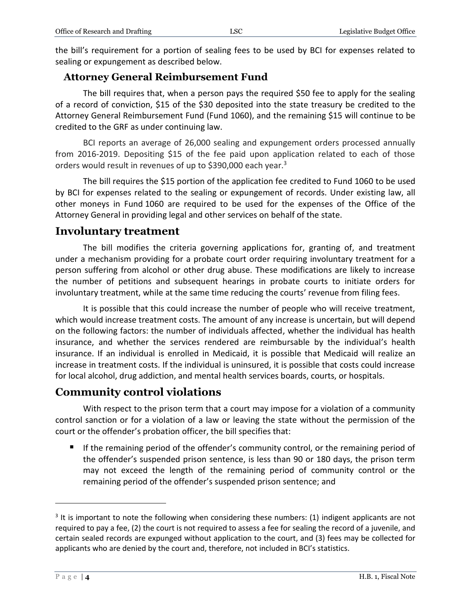the bill's requirement for a portion of sealing fees to be used by BCI for expenses related to sealing or expungement as described below.

#### **Attorney General Reimbursement Fund**

The bill requires that, when a person pays the required \$50 fee to apply for the sealing of a record of conviction, \$15 of the \$30 deposited into the state treasury be credited to the Attorney General Reimbursement Fund (Fund 1060), and the remaining \$15 will continue to be credited to the GRF as under continuing law.

BCI reports an average of 26,000 sealing and expungement orders processed annually from 2016-2019. Depositing \$15 of the fee paid upon application related to each of those orders would result in revenues of up to \$390,000 each year.<sup>3</sup>

The bill requires the \$15 portion of the application fee credited to Fund 1060 to be used by BCI for expenses related to the sealing or expungement of records. Under existing law, all other moneys in Fund 1060 are required to be used for the expenses of the Office of the Attorney General in providing legal and other services on behalf of the state.

#### **Involuntary treatment**

The bill modifies the criteria governing applications for, granting of, and treatment under a mechanism providing for a probate court order requiring involuntary treatment for a person suffering from alcohol or other drug abuse. These modifications are likely to increase the number of petitions and subsequent hearings in probate courts to initiate orders for involuntary treatment, while at the same time reducing the courts' revenue from filing fees.

It is possible that this could increase the number of people who will receive treatment, which would increase treatment costs. The amount of any increase is uncertain, but will depend on the following factors: the number of individuals affected, whether the individual has health insurance, and whether the services rendered are reimbursable by the individual's health insurance. If an individual is enrolled in Medicaid, it is possible that Medicaid will realize an increase in treatment costs. If the individual is uninsured, it is possible that costs could increase for local alcohol, drug addiction, and mental health services boards, courts, or hospitals.

### **Community control violations**

With respect to the prison term that a court may impose for a violation of a community control sanction or for a violation of a law or leaving the state without the permission of the court or the offender's probation officer, the bill specifies that:

 If the remaining period of the offender's community control, or the remaining period of the offender's suspended prison sentence, is less than 90 or 180 days, the prison term may not exceed the length of the remaining period of community control or the remaining period of the offender's suspended prison sentence; and

 $\overline{a}$ 

 $3$  It is important to note the following when considering these numbers: (1) indigent applicants are not required to pay a fee, (2) the court is not required to assess a fee for sealing the record of a juvenile, and certain sealed records are expunged without application to the court, and (3) fees may be collected for applicants who are denied by the court and, therefore, not included in BCI's statistics.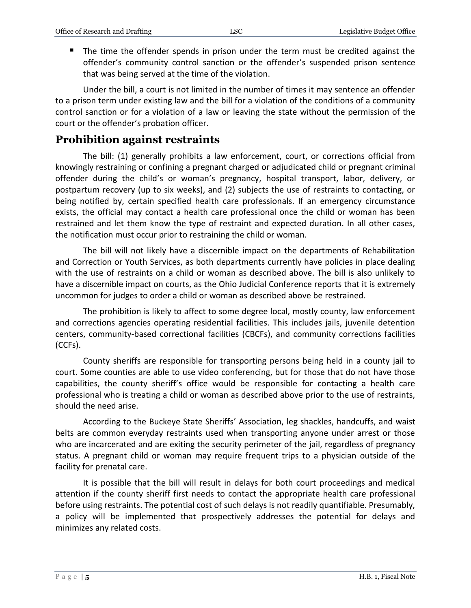The time the offender spends in prison under the term must be credited against the offender's community control sanction or the offender's suspended prison sentence that was being served at the time of the violation.

Under the bill, a court is not limited in the number of times it may sentence an offender to a prison term under existing law and the bill for a violation of the conditions of a community control sanction or for a violation of a law or leaving the state without the permission of the court or the offender's probation officer.

#### **Prohibition against restraints**

The bill: (1) generally prohibits a law enforcement, court, or corrections official from knowingly restraining or confining a pregnant charged or adjudicated child or pregnant criminal offender during the child's or woman's pregnancy, hospital transport, labor, delivery, or postpartum recovery (up to six weeks), and (2) subjects the use of restraints to contacting, or being notified by, certain specified health care professionals. If an emergency circumstance exists, the official may contact a health care professional once the child or woman has been restrained and let them know the type of restraint and expected duration. In all other cases, the notification must occur prior to restraining the child or woman.

The bill will not likely have a discernible impact on the departments of Rehabilitation and Correction or Youth Services, as both departments currently have policies in place dealing with the use of restraints on a child or woman as described above. The bill is also unlikely to have a discernible impact on courts, as the Ohio Judicial Conference reports that it is extremely uncommon for judges to order a child or woman as described above be restrained.

The prohibition is likely to affect to some degree local, mostly county, law enforcement and corrections agencies operating residential facilities. This includes jails, juvenile detention centers, community-based correctional facilities (CBCFs), and community corrections facilities (CCFs).

County sheriffs are responsible for transporting persons being held in a county jail to court. Some counties are able to use video conferencing, but for those that do not have those capabilities, the county sheriff's office would be responsible for contacting a health care professional who is treating a child or woman as described above prior to the use of restraints, should the need arise.

According to the Buckeye State Sheriffs' Association, leg shackles, handcuffs, and waist belts are common everyday restraints used when transporting anyone under arrest or those who are incarcerated and are exiting the security perimeter of the jail, regardless of pregnancy status. A pregnant child or woman may require frequent trips to a physician outside of the facility for prenatal care.

It is possible that the bill will result in delays for both court proceedings and medical attention if the county sheriff first needs to contact the appropriate health care professional before using restraints. The potential cost of such delays is not readily quantifiable. Presumably, a policy will be implemented that prospectively addresses the potential for delays and minimizes any related costs.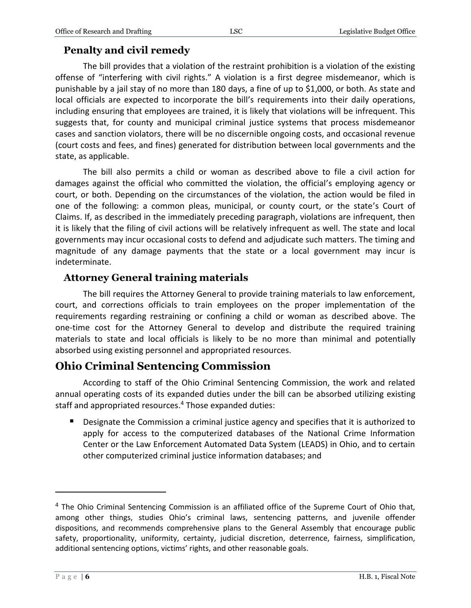### **Penalty and civil remedy**

The bill provides that a violation of the restraint prohibition is a violation of the existing offense of "interfering with civil rights." A violation is a first degree misdemeanor, which is punishable by a jail stay of no more than 180 days, a fine of up to \$1,000, or both. As state and local officials are expected to incorporate the bill's requirements into their daily operations, including ensuring that employees are trained, it is likely that violations will be infrequent. This suggests that, for county and municipal criminal justice systems that process misdemeanor cases and sanction violators, there will be no discernible ongoing costs, and occasional revenue (court costs and fees, and fines) generated for distribution between local governments and the state, as applicable.

The bill also permits a child or woman as described above to file a civil action for damages against the official who committed the violation, the official's employing agency or court, or both. Depending on the circumstances of the violation, the action would be filed in one of the following: a common pleas, municipal, or county court, or the state's Court of Claims. If, as described in the immediately preceding paragraph, violations are infrequent, then it is likely that the filing of civil actions will be relatively infrequent as well. The state and local governments may incur occasional costs to defend and adjudicate such matters. The timing and magnitude of any damage payments that the state or a local government may incur is indeterminate.

#### **Attorney General training materials**

The bill requires the Attorney General to provide training materials to law enforcement, court, and corrections officials to train employees on the proper implementation of the requirements regarding restraining or confining a child or woman as described above. The one-time cost for the Attorney General to develop and distribute the required training materials to state and local officials is likely to be no more than minimal and potentially absorbed using existing personnel and appropriated resources.

# **Ohio Criminal Sentencing Commission**

According to staff of the Ohio Criminal Sentencing Commission, the work and related annual operating costs of its expanded duties under the bill can be absorbed utilizing existing staff and appropriated resources. <sup>4</sup> Those expanded duties:

**Designate the Commission a criminal justice agency and specifies that it is authorized to** apply for access to the computerized databases of the National Crime Information Center or the Law Enforcement Automated Data System (LEADS) in Ohio, and to certain other computerized criminal justice information databases; and

 $\overline{a}$ 

 $4$  The Ohio Criminal Sentencing Commission is an affiliated office of the Supreme Court of Ohio that, among other things, studies Ohio's criminal laws, sentencing patterns, and juvenile offender dispositions, and recommends comprehensive plans to the General Assembly that encourage public safety, proportionality, uniformity, certainty, judicial discretion, deterrence, fairness, simplification, additional sentencing options, victims' rights, and other reasonable goals.